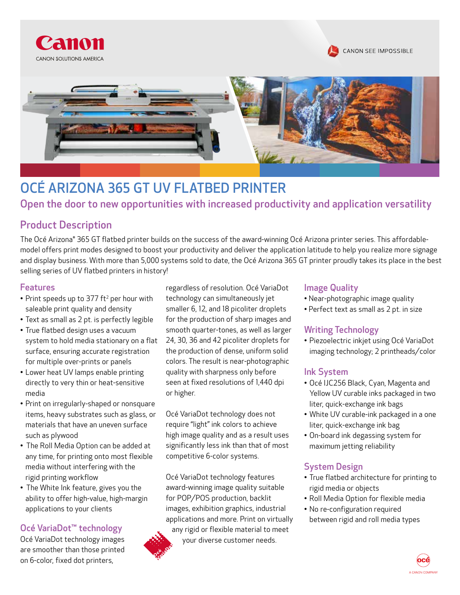





# OCÉ ARIZONA 365 GT UV FLATBED PRINTER

Open the door to new opportunities with increased productivity and application versatility

# Product Description

The Océ Arizona® 365 GT flatbed printer builds on the success of the award-winning Océ Arizona printer series. This affordablemodel offers print modes designed to boost your productivity and deliver the application latitude to help you realize more signage and display business. With more than 5,000 systems sold to date, the Océ Arizona 365 GT printer proudly takes its place in the best selling series of UV flatbed printers in history!

#### Features

- Print speeds up to 377 ft<sup>2</sup> per hour with saleable print quality and density
- Text as small as 2 pt. is perfectly legible
- True flatbed design uses a vacuum system to hold media stationary on a flat surface, ensuring accurate registration for multiple over-prints or panels
- Lower heat UV lamps enable printing directly to very thin or heat-sensitive media
- Print on irregularly-shaped or nonsquare items, heavy substrates such as glass, or materials that have an uneven surface such as plywood
- The Roll Media Option can be added at any time, for printing onto most flexible media without interfering with the rigid printing workflow
- The White Ink feature, gives you the ability to offer high-value, high-margin applications to your clients

# Océ VariaDot™ technology

Océ VariaDot technology images are smoother than those printed on 6-color, fixed dot printers,

regardless of resolution. Océ VariaDot technology can simultaneously jet smaller 6, 12, and 18 picoliter droplets for the production of sharp images and smooth quarter-tones, as well as larger 24, 30, 36 and 42 picoliter droplets for the production of dense, uniform solid colors. The result is near-photographic quality with sharpness only before seen at fixed resolutions of 1,440 dpi or higher.

Océ VariaDot technology does not require "light" ink colors to achieve high image quality and as a result uses significantly less ink than that of most competitive 6-color systems.

Océ VariaDot technology features award-winning image quality suitable for POP/POS production, backlit images, exhibition graphics, industrial applications and more. Print on virtually any rigid or flexible material to meet your diverse customer needs.



- Near-photographic image quality
- Perfect text as small as 2 pt. in size

# Writing Technology

• Piezoelectric inkjet using Océ VariaDot imaging technology; 2 printheads/color

#### Ink System

- Océ IJC256 Black, Cyan, Magenta and Yellow UV curable inks packaged in two liter, quick-exchange ink bags
- White UV curable-ink packaged in a one liter, quick-exchange ink bag
- On-board ink degassing system for maximum jetting reliability

# System Design

- True flatbed architecture for printing to rigid media or objects
- Roll Media Option for flexible media
- No re-configuration required between rigid and roll media types